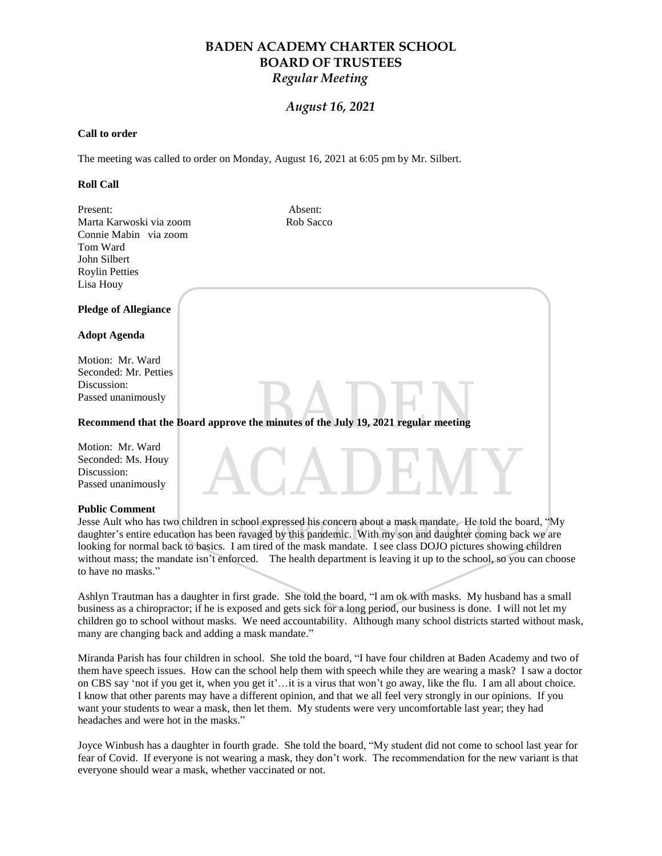## *August 16, 2021*

#### **Call to order**

The meeting was called to order on Monday, August 16, 2021 at 6:05 pm by Mr. Silbert.

#### **Roll Call**

| Present:                    | Absent:   |
|-----------------------------|-----------|
| Marta Karwoski via zoom     | Rob Sacco |
| Connie Mabin via zoom       |           |
| Tom Ward                    |           |
| John Silbert                |           |
| <b>Roylin Petties</b>       |           |
| Lisa Houy                   |           |
| <b>Pledge of Allegiance</b> |           |
| <b>Adopt Agenda</b>         |           |

Motion: Mr. Ward Seconded: Mr. Petties Discussion: Passed unanimously

### **Recommend that the Board approve the minutes of the July 19, 2021 regular meeting**

Motion: Mr. Ward Seconded: Ms. Houy Discussion: Passed unanimously

#### **Public Comment**

Jesse Ault who has two children in school expressed his concern about a mask mandate. He told the board, "My daughter's entire education has been ravaged by this pandemic. With my son and daughter coming back we are looking for normal back to basics. I am tired of the mask mandate. I see class DOJO pictures showing children without mass; the mandate isn't enforced. The health department is leaving it up to the school, so you can choose to have no masks."

Ashlyn Trautman has a daughter in first grade. She told the board, "I am ok with masks. My husband has a small business as a chiropractor; if he is exposed and gets sick for a long period, our business is done. I will not let my children go to school without masks. We need accountability. Although many school districts started without mask, many are changing back and adding a mask mandate."

Miranda Parish has four children in school. She told the board, "I have four children at Baden Academy and two of them have speech issues. How can the school help them with speech while they are wearing a mask? I saw a doctor on CBS say 'not if you get it, when you get it'...it is a virus that won't go away, like the flu. I am all about choice. I know that other parents may have a different opinion, and that we all feel very strongly in our opinions. If you want your students to wear a mask, then let them. My students were very uncomfortable last year; they had headaches and were hot in the masks."

Joyce Winbush has a daughter in fourth grade. She told the board, "My student did not come to school last year for fear of Covid. If everyone is not wearing a mask, they don"t work. The recommendation for the new variant is that everyone should wear a mask, whether vaccinated or not.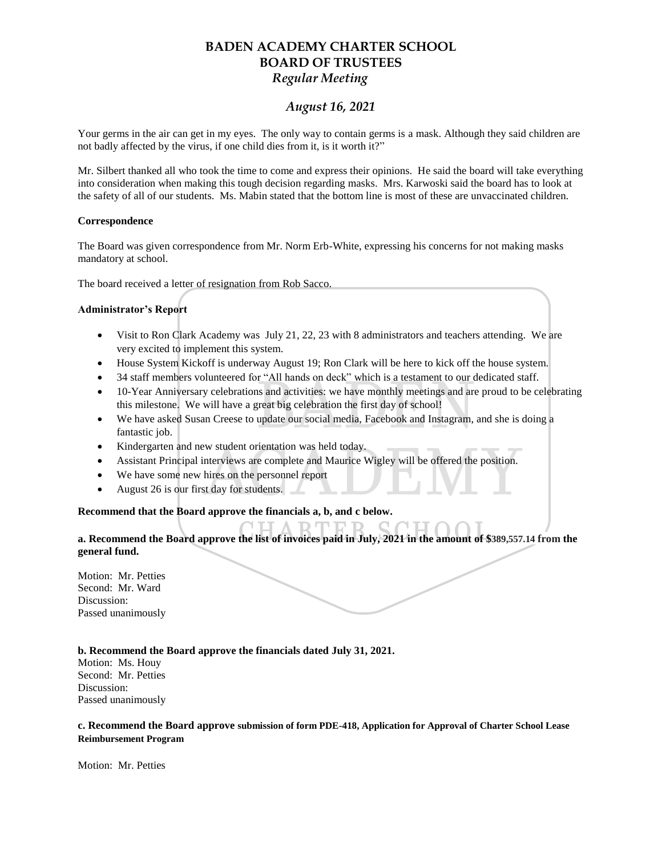## *August 16, 2021*

Your germs in the air can get in my eyes. The only way to contain germs is a mask. Although they said children are not badly affected by the virus, if one child dies from it, is it worth it?"

Mr. Silbert thanked all who took the time to come and express their opinions. He said the board will take everything into consideration when making this tough decision regarding masks. Mrs. Karwoski said the board has to look at the safety of all of our students. Ms. Mabin stated that the bottom line is most of these are unvaccinated children.

#### **Correspondence**

The Board was given correspondence from Mr. Norm Erb-White, expressing his concerns for not making masks mandatory at school.

The board received a letter of resignation from Rob Sacco.

### **Administrator's Report**

- Visit to Ron Clark Academy was July 21, 22, 23 with 8 administrators and teachers attending. We are very excited to implement this system.
- House System Kickoff is underway August 19; Ron Clark will be here to kick off the house system.
- 34 staff members volunteered for "All hands on deck" which is a testament to our dedicated staff.
- 10-Year Anniversary celebrations and activities: we have monthly meetings and are proud to be celebrating this milestone. We will have a great big celebration the first day of school!
- We have asked Susan Creese to update our social media, Facebook and Instagram, and she is doing a fantastic job.
- Kindergarten and new student orientation was held today.
- Assistant Principal interviews are complete and Maurice Wigley will be offered the position.
- We have some new hires on the personnel report
- August 26 is our first day for students.

### **Recommend that the Board approve the financials a, b, and c below.**

### **a. Recommend the Board approve the list of invoices paid in July, 2021 in the amount of \$389,557.14 from the general fund.**

Motion: Mr. Petties Second: Mr. Ward Discussion: Passed unanimously

### **b. Recommend the Board approve the financials dated July 31, 2021.**

Motion: Ms. Houy Second: Mr. Petties Discussion: Passed unanimously

### **c. Recommend the Board approve submission of form PDE-418, Application for Approval of Charter School Lease Reimbursement Program**

Motion: Mr. Petties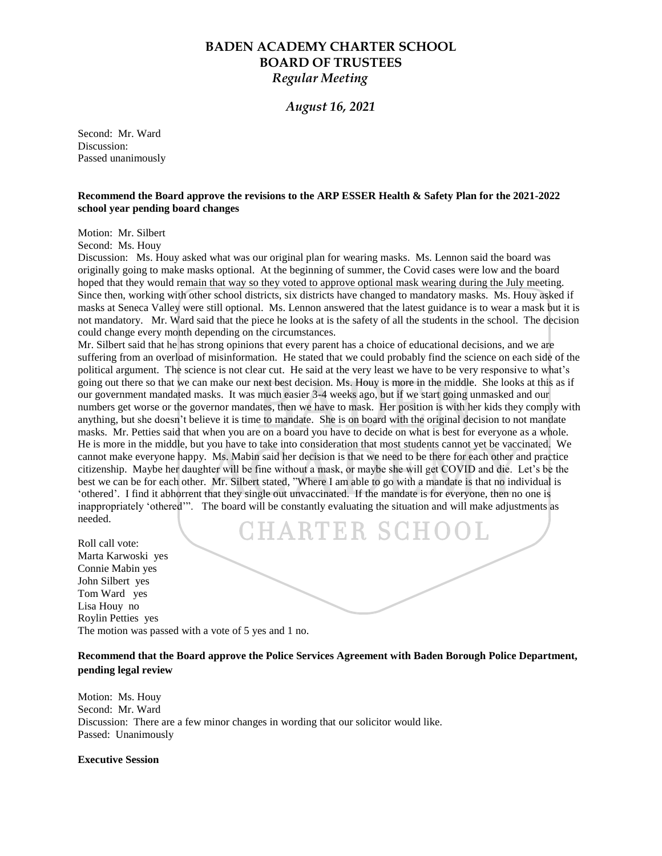### *August 16, 2021*

Second: Mr. Ward Discussion: Passed unanimously

#### **Recommend the Board approve the revisions to the ARP ESSER Health & Safety Plan for the 2021-2022 school year pending board changes**

Motion: Mr. Silbert

Second: Ms. Houy

Discussion: Ms. Houy asked what was our original plan for wearing masks. Ms. Lennon said the board was originally going to make masks optional. At the beginning of summer, the Covid cases were low and the board hoped that they would remain that way so they voted to approve optional mask wearing during the July meeting. Since then, working with other school districts, six districts have changed to mandatory masks. Ms. Houy asked if masks at Seneca Valley were still optional. Ms. Lennon answered that the latest guidance is to wear a mask but it is not mandatory. Mr. Ward said that the piece he looks at is the safety of all the students in the school. The decision could change every month depending on the circumstances.

Mr. Silbert said that he has strong opinions that every parent has a choice of educational decisions, and we are suffering from an overload of misinformation. He stated that we could probably find the science on each side of the political argument. The science is not clear cut. He said at the very least we have to be very responsive to what"s going out there so that we can make our next best decision. Ms. Houy is more in the middle. She looks at this as if our government mandated masks. It was much easier 3-4 weeks ago, but if we start going unmasked and our numbers get worse or the governor mandates, then we have to mask. Her position is with her kids they comply with anything, but she doesn't believe it is time to mandate. She is on board with the original decision to not mandate masks. Mr. Petties said that when you are on a board you have to decide on what is best for everyone as a whole. He is more in the middle, but you have to take into consideration that most students cannot yet be vaccinated. We cannot make everyone happy. Ms. Mabin said her decision is that we need to be there for each other and practice citizenship. Maybe her daughter will be fine without a mask, or maybe she will get COVID and die. Let"s be the best we can be for each other. Mr. Silbert stated, "Where I am able to go with a mandate is that no individual is "othered". I find it abhorrent that they single out unvaccinated. If the mandate is for everyone, then no one is inappropriately "othered"". The board will be constantly evaluating the situation and will make adjustments as needed.

CHARTER SCHOOL Roll call vote: Marta Karwoski yes Connie Mabin yes John Silbert yes Tom Ward yes Lisa Houy no Roylin Petties yes The motion was passed with a vote of 5 yes and 1 no.

### **Recommend that the Board approve the Police Services Agreement with Baden Borough Police Department, pending legal review**

Motion: Ms. Houy Second: Mr. Ward Discussion: There are a few minor changes in wording that our solicitor would like. Passed: Unanimously

#### **Executive Session**